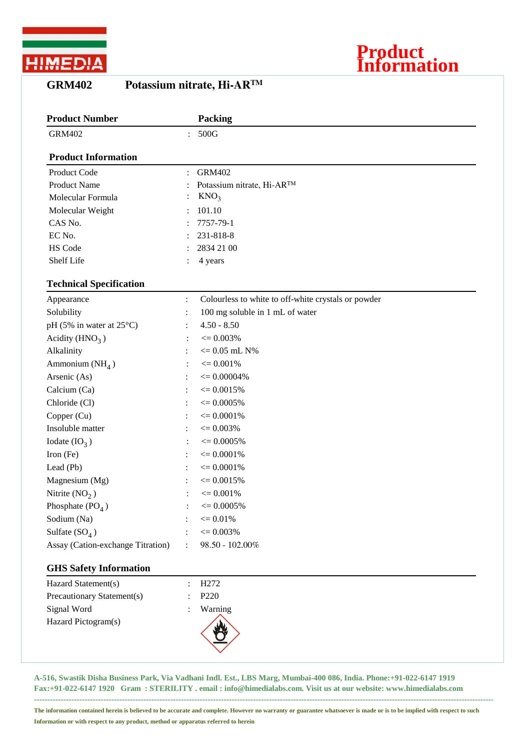

## **GRM402 Potassium nitrate, Hi-ARTM**

| <b>Product Number</b>              |                | Packing                                             |  |
|------------------------------------|----------------|-----------------------------------------------------|--|
| <b>GRM402</b>                      | $\ddot{\cdot}$ | 500G                                                |  |
| <b>Product Information</b>         |                |                                                     |  |
| Product Code                       |                | <b>GRM402</b>                                       |  |
| <b>Product Name</b>                |                | Potassium nitrate, Hi-AR™                           |  |
| Molecular Formula                  |                | KNO <sub>3</sub>                                    |  |
| Molecular Weight                   |                | 101.10                                              |  |
| CAS No.                            |                | 7757-79-1                                           |  |
| EC No.                             |                | 231-818-8                                           |  |
| HS Code                            |                | 2834 21 00                                          |  |
| Shelf Life                         |                | 4 years                                             |  |
| <b>Technical Specification</b>     |                |                                                     |  |
| Appearance                         | $\ddot{\cdot}$ | Colourless to white to off-white crystals or powder |  |
| Solubility                         |                | 100 mg soluble in 1 mL of water                     |  |
| pH (5% in water at $25^{\circ}$ C) |                | $4.50 - 8.50$                                       |  |
| Acidity $(HNO3)$                   |                | $\epsilon = 0.003\%$                                |  |
| Alkalinity                         |                | $<=0.05$ mL $N\%$                                   |  |
| Ammonium $(NH_4)$                  |                | $\epsilon = 0.001\%$                                |  |
| Arsenic (As)                       |                | $\epsilon = 0.00004\%$                              |  |
| Calcium (Ca)                       |                | $\epsilon = 0.0015\%$                               |  |
| Chloride (Cl)                      |                | $\epsilon = 0.0005\%$                               |  |
| Copper (Cu)                        |                | $\epsilon = 0.0001\%$                               |  |
| Insoluble matter                   |                | $\epsilon = 0.003\%$                                |  |
| Iodate $(IO3)$                     |                | $\epsilon = 0.0005\%$                               |  |
| Iron (Fe)                          |                | $\epsilon = 0.0001\%$                               |  |
| Lead (Pb)                          |                | $\epsilon = 0.0001\%$                               |  |
| Magnesium (Mg)                     |                | $\epsilon = 0.0015\%$                               |  |
| Nitrite $(NO2)$                    |                | $\epsilon = 0.001\%$                                |  |
| Phosphate $(PO4)$                  |                | $\epsilon = 0.0005\%$                               |  |
| Sodium (Na)                        |                | $\leq 0.01\%$                                       |  |
| Sulfate $(SO_4)$                   |                | $\epsilon = 0.003\%$                                |  |
| Assay (Cation-exchange Titration)  | $\ddot{\cdot}$ | 98.50 - 102.00%                                     |  |
| <b>GHS Safety Information</b>      |                |                                                     |  |
| Hazard Statement(s)                |                | H <sub>272</sub>                                    |  |
| Precautionary Statement(s)         |                | P220                                                |  |
| Signal Word                        |                | Warning                                             |  |
| Hazard Pictogram(s)                |                |                                                     |  |

**Product**

**Information**

**A-516, Swastik Disha Business Park, Via Vadhani Indl. Est., LBS Marg, Mumbai-400 086, India. Phone:+91-022-6147 1919 Fax:+91-022-6147 1920 Gram : STERILITY . email : info@himedialabs.com. Visit us at our website: www.himedialabs.com**

**----------------------------------------------------------------------------------------------------------------------------------------------------------------------------**